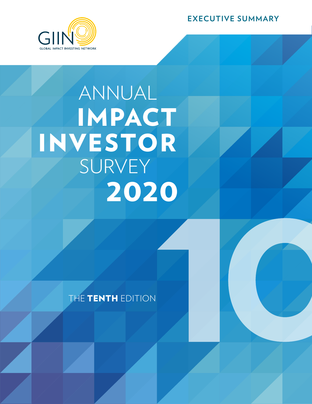**EXECUTIVE SUMMARY**



# IMPACT ANNUAL SURVEY 2020 INVESTOR

THE TENTH EDITION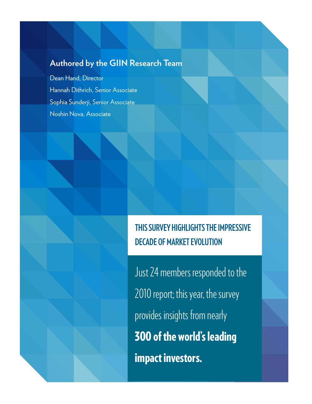### **Authored by the GIIN Research Team**

Dean Hand, Director Hannah Dithrich, Senior Associate Sophia Sunderji, Senior Associate Noshin Nova, Associate



Just 24 members responded to the 2010 report; this year, the survey provides insights from nearly 300 of the world's leading impact investors.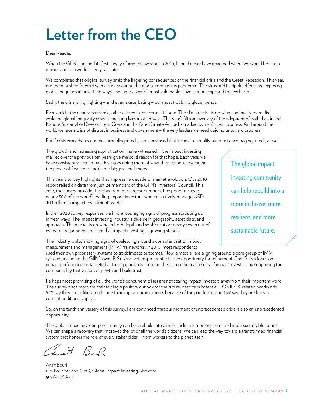## **Letter from the CEO**

#### Dear Reader,

When the GIIN launched its first survey of impact investors in 2010, I could never have imagined where we would be – as a market and as a world – ten years later.

We completed that original survey amid the lingering consequences of the financial crisis and the Great Recession. This year, our team pushed forward with a survey during the global coronavirus pandemic. The virus and its ripple effects are exposing global inequities in unsettling ways, leaving the world's most vulnerable citizens more exposed to new harm.

Sadly, the crisis is highlighting – and even exacerbating – our most troubling global trends.

Even amidst the deadly pandemic, other existential concerns still loom. The climate crisis is growing continually more dire, while the global 'inequality crisis' is threating lives in other ways. This year's fifth anniversary of the adoptions of both the United Nations Sustainable Development Goals and the Paris Climate Accord is marked by insufficient progress. And around the world, we face a crisis of distrust in business and government – the very leaders we need guiding us toward progress.

But if crisis exacerbates our most troubling trends, I am convinced that it can also amplify our most encouraging trends, as well.

The growth and increasing sophistication I have witnessed in the impact investing market over the previous ten years give me solid reason for that hope. Each year, we have consistently seen impact investors doing more of what they do best: leveraging the power of finance to tackle our biggest challenges.

This year's survey highlights that impressive decade of market evolution. Our 2010 report relied on data from just 24 members of the GIIN's Investors' Council. This year, the survey provides insights from our largest number of respondents ever: nearly 300 of the world's leading impact investors, who collectively manage USD 404 billion in impact investment assets.

In their 2020 survey responses, we find encouraging signs of progress sprouting up in fresh ways. The impact investing industry is diverse in geography, asset class, and approach. The market is growing in both depth and sophistication: nearly seven out of every ten respondents believe that impact investing is growing steadily.

The industry is also showing signs of coalescing around a consistent set of impact measurement and management (IMM) frameworks. In 2010, most respondents

The global impact investing community can help rebuild into a more inclusive, more resilient, and more sustainable future.

used their own proprietary systems to track impact outcomes. Now, almost all are aligning around a core group of IMM systems, including the GIIN's own IRIS+. And yet, respondents still see opportunity for refinement. The GIIN's focus on impact performance is targeted at that opportunity – raising the bar on the real results of impact investing by supporting the comparability that will drive growth and build trust.

Perhaps most promising of all, the world's concurrent crises are not scaring impact investors away from their important work. The survey finds most are maintaining a positive outlook for the future, despite substantial COVID-19-related headwinds: 57% say they are unlikely to change their capital commitments because of the pandemic, and 15% say they are likely to commit additional capital.

So, on the tenth anniversary of this survey, I am convinced that our moment of unprecedented crisis is also an unprecedented opportunity.

The global impact investing community can help rebuild into a more inclusive, more resilient, and more sustainable future. We can shape a recovery that improves the lot of all the world's citizens. We can lead the way toward a transformed financial system that honors the role of every stakeholder – from workers to the planet itself.

ant Boy?

Amit Bouri Co-Founder and CEO, Global Impact Investing Network @AmitKBouri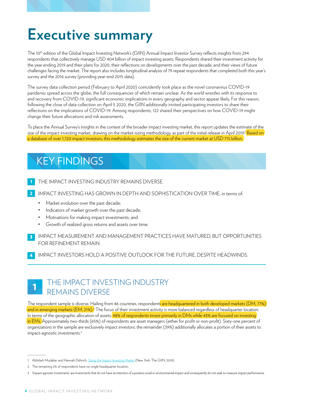## **Executive summary**

The 10<sup>th</sup> edition of the Global Impact Investing Network's (GIIN) Annual Impact Investor Survey reflects insights from 294 respondents that collectively manage USD 404 billion of impact investing assets. Respondents shared their investment activity for the year ending 2019 and their plans for 2020, their reflections on developments over the past decade, and their views of future challenges facing the market. The report also includes longitudinal analysis of 79 repeat respondents that completed both this year's survey and the 2016 survey (providing year-end 2015 data).

The survey data collection period (February to April 2020) coincidently took place as the novel coronavirus COVID-19 pandemic spread across the globe, the full consequences of which remain unclear. As the world wrestles with its response to and recovery from COVID-19, significant economic implications in every geography and sector appear likely. For this reason, following the close of data collection on April 5 2020, the GIIN additionally invited participating investors to share their reflections on the implications of COVID-19. Among respondents, 122 shared their perspectives on how COVID-19 might change their future allocations and risk assessments.

To place the Annual Survey's insights in the context of the broader impact investing market, this report updates the estimate of the size of the impact investing market, drawing on the market-sizing methodology, as part of the initial release in April 2019.<sup>1</sup> <mark>Based on</mark> a database of over 1,720 impact investors, this methodology estimates the size of the current market at USD 715 billion.

### KEY FINDINGS

- 1 THE IMPACT INVESTING INDUSTRY REMAINS DIVERSE.
- 2 IMPACT INVESTING HAS GROWN IN DEPTH AND SOPHISTICATION OVER TIME, in terms of:
	- Market evolution over the past decade;
	- Indicators of market growth over the past decade;
	- Motivations for making impact investments; and
	- Growth of realized gross returns and assets over time.
- 3 IMPACT MEASUREMENT AND MANAGEMENT PRACTICES HAVE MATURED, BUT OPPORTUNITIES FOR REFINEMENT REMAIN.

4 IMPACT INVESTORS HOLD A POSITIVE OUTLOOK FOR THE FUTURE, DESPITE HEADWINDS.

#### 1 THE IMPACT INVESTING INDUSTRY REMAINS DIVERSE

The respondent sample is diverse. Hailing from 46 countries, respondents are headquartered in both developed markets (DM, 77%) and in emerging markets (EM, 21%).<sup>3</sup> The focus of their investment activity is more balanced regardless of headquarter location. In terms of the geographic allocation of assets, 48% of respondents invest primarily in DMs while 43% are focused on investing in EMs. Approximately two-thirds (65%) of respondents are asset managers (either for profit or non-profit). Sixty-one percent of organizations in the sample are exclusively impact investors; the remainder (39%) additionally allocates a portion of their assets to impact-agnostic investments.<sup>3</sup>

<sup>1</sup> Abhilash Mudaliar and Hannah Dithrich, *[Sizing the Impact Investing Market](https://thegiin.org/research/publication/impinv-market-size)* (New York: The GIIN, 2019).

<sup>2</sup> The remaining 2% of respondents have no single headquarter location.

<sup>3</sup> 'Impact-agnostic investments' are investments that do not have an intention of a positive social or environmental impact and consequently do not seek to measure impact performance.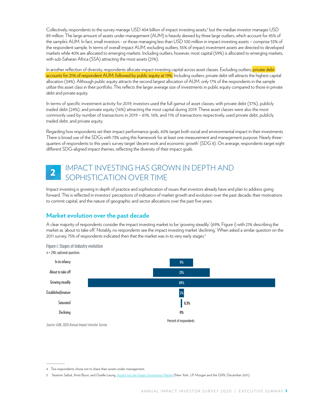Collectively, respondents to the survey manage USD 404 billion of impact investing assets,<sup>4</sup> but the median investor manages USD 89 million. The large amount of assets under management (AUM) is heavily skewed by three large outliers, which account for 45% of the sample's AUM. In fact, small investors - or those managing less than USD 100 million in impact investing assets – comprise 53% of the respondent sample. In terms of overall impact AUM, excluding outliers, 55% of impact investment assets are directed to developed markets while 40% are allocated to emerging markets. Including outliers, however, most capital (59%) is allocated to emerging markets, with sub-Saharan Africa (SSA) attracting the most assets (21%).

In another reflection of diversity, respondents allocate impact investing capital across asset classes. Excluding outliers, private debt accounts for 21% of respondent AUM, followed by public equity at 19%. Including outliers, private debt still attracts the highest capital allocation (34%). Although public equity attracts the second largest allocation of AUM, only 17% of the respondents in the sample utilize this asset class in their portfolio. This reflects the larger average size of investments in public equity compared to those in private debt and private equity.

In terms of specific investment activity for 2019, investors used the full gamut of asset classes, with private debt (37%), publicly traded debt (24%), and private equity (16%) attracting the most capital during 2019. These asset classes were also the most commonly used by number of transactions in 2019 – 61%, 16%, and 11% of transactions respectively, used private debt, publicly traded debt, and private equity.

Regarding how respondents set their impact performance goals, 60% target both social and environmental impact in their investments. There is broad use of the SDGs with 73% using this framework for at least one measurement and management purpose. Nearly threequarters of respondents to this year's survey target 'decent work and economic growth' (SDG 8). On average, respondents target eight different SDG-aligned impact themes, reflecting the diversity of their impact goals.

#### IMPACT INVESTING HAS GROWN IN DEPTH AND SOPHISTICATION OVER TIME 2

Impact investing is growing in depth of practice and sophistication of issues that investors already have and plan to address going forward. This is reflected in investors' perceptions of indicators of market growth and evolution over the past decade, their motivations to commit capital, and the nature of geographic and sector allocations over the past five years.

#### **Market evolution over the past decade**

A clear majority of respondents consider the impact investing market to be 'growing steadily' (69%, Figure i) with 21% describing the market as 'about to take off.' Notably, no respondents see the impact investing market 'declining.' When asked a similar question on the 2011 survey, 75% of respondents indicated then that the market was in its very early stages.<sup>5</sup>



*Source: GIIN, 2020 Annual Impact Investor Survey*

<sup>4</sup> Two respondents chose not to share their assets under management.

<sup>5</sup> Yasemin Saltuk, Amit Bouri, and Giselle Leung, *[Insight into the Impact Investment Market](https://thegiin.org/research/publication/insight-into-the-impact-investment-market)* (New York: J.P. Morgan and the GIIN, December 2011).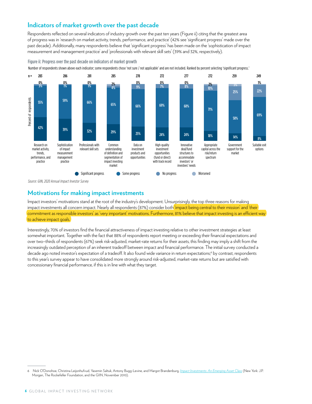#### **Indicators of market growth over the past decade**

Respondents reflected on several indicators of industry growth over the past ten years (Figure ii) citing that the greatest area of progress was in 'research on market activity, trends, performance, and practice' (42% see 'significant progress' made over the past decade). Additionally, many respondents believe that 'significant progress' has been made on the 'sophistication of impact measurement and management practice' and 'professionals with relevant skill sets' (39% and 32%, respectively).

#### Figure ii: Progress over the past decade on indicators of market growth

Number of respondents shown above each indicator; some respondents chose 'not sure / not applicable' and are not included. Ranked by percent selecting 'significant progress.'



*Source: GIIN, 2020 Annual Impact Investor Survey*

#### **Motivations for making impact investments**

Impact investors' motivations stand at the root of the industry's development. Unsurprisingly, the top three reasons for making impact investments all concern impact. Nearly all respondents (87%) consider both *'impact being central to their mission'* and 'their commitment as responsible investors' as 'very important' motivations. Furthermore, 81% believe that impact investing is an efficient way to achieve impact goals.

Interestingly, 70% of investors find the financial attractiveness of impact investing relative to other investment strategies at least somewhat important. Together with the fact that 88% of respondents report meeting or exceeding their financial expectations and over two–thirds of respondents (67%) seek risk-adjusted, market-rate returns for their assets, this finding may imply a shift from the increasingly outdated perception of an inherent tradeoff between impact and financial performance. The initial survey conducted a decade ago noted investor's expectation of a tradeoff. It also found wide variance in return expectations;<sup>6</sup> by contrast, respondents to this year's survey appear to have consolidated more strongly around risk-adjusted, market-rate returns but are satisfied with concessionary financial performance, if this is in line with what they target.

<sup>6</sup> Nick O'Donohoe, Christina Leijonhufvud, Yasemin Saltuk, Antony Bugg-Levine, and Margot Brandenburg, *[Impact Investments: An Emerging Asset Class](https://thegiin.org/assets/documents/Impact Investments an Emerging Asset Class2.pdf)* (New York: J.P. Morgan, The Rockefeller Foundation, and the GIIN, November 2010).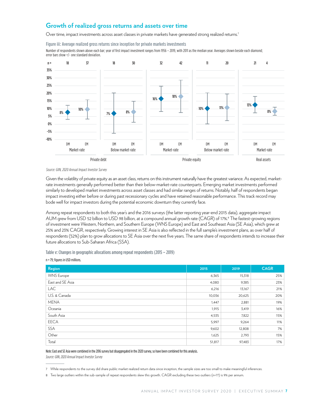#### **Growth of realized gross returns and assets over time**

Over time, impact investments across asset classes in private markets have generated strong realized returns.<sup>7</sup>



Number of respondents shown above each bar; year of first impact investment ranges from 1956 – 2019, with 2011 as the median year. Averages shown beside each diamond; error bars show +/- one standard deviation.



*Source: GIIN, 2020 Annual Impact Investor Survey*

Given the volatility of private equity as an asset class, returns on this instrument naturally have the greatest variance. As expected, marketrate investments generally performed better than their below-market-rate counterparts. Emerging market investments performed similarly to developed market investments across asset classes and had similar ranges of returns. Notably, half of respondents began impact investing either before or during past recessionary cycles and have retained reasonable performance. This track record may bode well for impact investors during the potential economic downturn they currently face.

Among repeat respondents to both this year's and the 2016 surveys (the latter reporting year-end 2015 data), aggregate impact AUM grew from USD 52 billion to USD 98 billion, at a compound annual growth rate (CAGR) of 17%.<sup>8</sup> The fastest-growing regions of investment were Western, Northern, and Southern Europe (WNS Europe) and East and Southeast Asia (SE Asia), which grew at 25% and 23% CAGR, respectively. Growing interest in SE Asia is also reflected in the full sample's investment plans, as over half of respondents (52%) plan to grow allocations to SE Asia over the next five years. The same share of respondents intends to increase their future allocations to Sub-Saharan Africa (SSA).

Table v: Changes in geographic allocations among repeat respondents (2015 – 2019) n = 79; figures in USD millions.

| Region            | 2015   | 2019   | <b>CAGR</b> |
|-------------------|--------|--------|-------------|
| <b>WNS Europe</b> | 6,365  | 15,318 | 25%         |
| East and SE Asia  | 4,080  | 9,385  | 23%         |
| <b>LAC</b>        | 6,216  | 13,167 | 21%         |
| U.S. & Canada     | 10,036 | 20,625 | 20%         |
| <b>MENA</b>       | 1,447  | 2,881  | 19%         |
| Oceania           | 1,915  | 3,419  | 16%         |
| South Asia        | 4,535  | 7,822  | 15%         |
| <b>EECA</b>       | 5,997  | 9,264  | 11%         |
| <b>SSA</b>        | 9,602  | 12,808 | 7%          |
| Other             | 1,625  | 2,793  | 15%         |
| Total             | 51,817 | 97,483 | 17%         |

Note: East and SE Asia were combined in the 2016 survey but disaggregated in the 2020 survey, so have been combined for this analysis. *Source: GIIN, 2020 Annual Impact Investor Survey*

<sup>7</sup> While respondents to the survey did share public market realized return data since inception, the sample sizes are too small to make meaningful inferences.

<sup>8</sup> Two large outliers within the sub-sample of repeat respondents skew this growth. CAGR excluding these two outliers (n=77) is 9% per annum.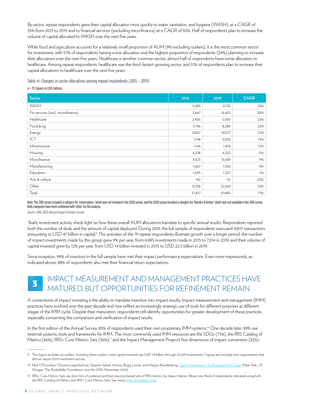By sector, repeat respondents grew their capital allocation most quickly to water, sanitation, and hygiene (WASH), at a CAGR of 33% from 2015 to 2019 and to financial services (excluding microfinance) at a CAGR of 30%. Half of respondents plan to increase the volume of capital allocated to WASH over the next five years.

While food and agriculture accounts for a relatively small proportion of AUM (9% excluding outliers), it is the most common sector for investment, with 57% of respondents having some allocation and the highest proportion of respondents (54%) planning to increase their allocations over the next five years. Healthcare is another common sector; almost half of respondents have some allocation to healthcare. Among repeat respondents, healthcare was the third-fastest-growing sector, and 51% of respondents plan to increase their capital allocations to healthcare over the next five years.

Table vi: Changes in sector allocations among repeat respondents (2015 – 2019)

n = 79; figures in USD millions.

| Sector                            | 2015   | 2019   | <b>CAGR</b> |
|-----------------------------------|--------|--------|-------------|
| WASH                              | 3,083  | 9,735  | 33%         |
| Fin services (excl. microfinance) | 5,667  | 16,432 | 30%         |
| Healthcare                        | 2,405  | 5,590  | 23%         |
| Food & ag                         | 3,746  | 8,284  | 22%         |
| Energy                            | 9,007  | 19,077 | 21%         |
| ICT                               | 1,198  | 2,058  | 14%         |
| Infrastructure                    | 1,144  | 1,818  | 12%         |
| Housing                           | 4,238  | 6,322  | 11%         |
| Microfinance                      | 9,525  | 13,439 | 9%          |
| Manufacturing                     | 1,667  | 1,356  | $-5%$       |
| Education                         | 1,695  | 1,257  | $-7%$       |
| Arts & culture                    | 142    | 52     | $-22%$      |
| Other                             | 8,298  | 12,063 | 10%         |
| Total                             | 51,817 | 97,483 | 17%         |

Note: The 2016 survey included a category for 'conservation,' which was not included in the 2020 survey, and the 2020 survey included a category for 'forestry & timber,' which was not available in the 2016 survey. Both categories have been combined with 'other' for this analysis.

*Source: GIIN, 2020 Annual Impact Investor Survey*

Yearly investment activity sheds light on how these overall AUM allocations translate to specific annual results. Respondents reported both the number of deals and the amount of capital deployed. During 2019, the full sample of respondents executed 9,807 transactions amounting to USD 47 billion in capital.<sup>9</sup> The activities of the 79 repeat respondents illustrate growth over a longer period: the number of impact investments made by this group grew 9% per year, from 4,885 investments made in 2015 to 7,014 in 2019, and their volume of capital invested grew by 12% per year, from USD 14 billion invested in 2015 to USD 22.5 billion in 2019.

Since inception, 99% of investors in the full sample have met their impact performance expectations. Even more impressively, as indicated above, 88% of respondents also met their financial return expectations.

#### IMPACT MEASUREMENT AND MANAGEMENT PRACTICES HAVE MATURED, BUT OPPORTUNITIES FOR REFINEMENT REMAIN 3

A cornerstone of impact investing is the ability to translate intention into impact results. Impact measurement and management (IMM) practices have evolved over the past decade and now reflect an increasingly strategic use of tools for different purposes at different stages of the IMM cycle. Despite their maturation, respondents still identify opportunities for greater development of these practices, especially concerning the comparison and verification of impact results.

In the first edition of the Annual Survey, 85% of respondents used their own proprietary IMM systems.<sup>10</sup> One decade later, 89% use external systems, tools and frameworks for IMM. The most commonly used IMM resources are the SDGs (73%), the IRIS Catalog of Metrics (46%), IRIS+ Core Metrics Sets (36%),<sup>11</sup> and the Impact Management Project's five dimensions of impact convention (32%).

<sup>9</sup> This figure excludes six outliers. Including these outliers, total capital invested was USD 79 billion through 23,029 investments. Figures also exclude nine organizations that did not report 2019 investment activity.

<sup>10</sup> Nick O'Donohoe, Christina Leijonhufvud, Yasemin Saltuk, Antony Bugg-Levine, and Margot Brandenburg, *[Impact Investments: An Emerging Asset Class](https://thegiin.org/assets/documents/Impact Investments an Emerging Asset Class2.pdf)* (New York: J.P. Morgan, The Rockefeller Foundation, and the GIIN, November 2010).

<sup>11</sup> IRIS+ Core Metrics Sets are short lists of evidence and best practice-based sets of IRIS metrics, by impact theme. About one-third of respondents indicated using both the IRIS Catalog of Metrics and IRIS+ Core Metrics Sets. See more: <https://iris.thegiin.org/>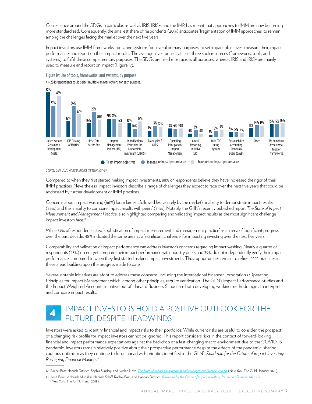Coalescence around the SDGs in particular, as well as IRIS, IRIS+, and the IMP, has meant that approaches to IMM are now becoming more standardized. Consequently, the smallest share of respondents (20%) anticipates 'fragmentation of IMM approaches' to remain among the challenges facing the market over the next five years.

Impact investors use IMM frameworks, tools, and systems for several primary purposes: to set impact objectives; measure their impact performance; and report on their impact results. The average investor uses at least three such resources (frameworks, tools, and systems) to fulfill these complementary purposes. The SDGs are used most across all purposes, whereas IRIS and IRIS+ are mainly used to measure and report on impact (Figure iv).

Figure iv: Use of tools, frameworks, and systems, by purpose n = 294; respondents could select multiple answer options for each purpose.



*Source: GIIN, 2020 Annual Impact Investor Survey*

Compared to when they first started making impact investments, 88% of respondents believe they have increased the rigor of their IMM practices. Nevertheless, impact investors describe a range of challenges they expect to face over the next five years that could be addressed by further development of IMM practices.

Concerns about impact washing (66%) loom largest, followed less acutely by the market's 'inability to demonstrate impact results' (35%) and the 'inability to compare impact results with peers' (34%). Notably, the GIIN's recently published report *The State of Impact Measurement and Management Practice*, also highlighted comparing and validating impact results as the most significant challenge impact investors face.<sup>12</sup>

While 39% of respondents cited 'sophistication of impact measurement and management practice' as an area of 'significant progress' over the past decade, 48% indicated the same area as a 'significant challenge' for impacting investing over the next five years.

Comparability and validation of impact performance can address investor's concerns regarding impact washing. Nearly a quarter of respondents (23%) do not yet compare their impact performance with industry peers and 39% do not independently verify their impact performance, compared to when they first started making impact investments. Thus, opportunities remain to refine IMM practices in these areas, building upon the progress made to date.

Several notable initiatives are afoot to address these concerns, including the International Finance Corporation's Operating Principles for Impact Management which, among other principles, require verification. The GIIN's Impact Performance Studies and the Impact Weighted Accounts initiative out of Harvard Business School are both developing working methodologies to interpret and compare impact results.

#### IMPACT INVESTORS HOLD A POSITIVE OUTLOOK FOR THE FUTURE, DESPITE HEADWINDS 4

Investors were asked to identify financial and impact risks to their portfolios. While current risks are useful to consider, the prospect of a changing risk profile for impact investors cannot be ignored. This report considers risks in the context of forward-looking financial and impact performance expectations against the backdrop of a fast-changing macro environment due to the COVID-19 pandemic. Investors remain relatively positive about their prospective performance despite the effects of the pandemic, sharing cautious optimism as they continue to forge ahead with priorities identified in the GIIN's *Roadmap for the Future of Impact Investing: Reshaping Financial Markets.*<sup>13</sup>

13 Amit Bouri, Abhilash Mudaliar, Hannah Schiff, Rachel Bass, and Hannah Dithrich, *[Roadmap for the Future of Impact Investing: Reshaping Financial Markets](https://thegiin.org/research/publication/giin-roadmap)* (New York: The GIIN, March 2018).

<sup>12</sup> Rachel Bass, Hannah Dithrich, Sophia Sunderji, and Noshin Nova, *[The State of Impact Measurement and Management Practice, 2nd ed.](https://thegiin.org/research/publication/imm-survey-second-edition)* (New York: The GIIN, January 2020).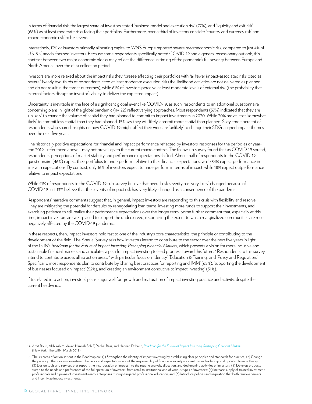In terms of financial risk, the largest share of investors stated 'business model and execution risk' (77%), and 'liquidity and exit risk' (68%) as at least moderate risks facing their portfolios. Furthermore, over a third of investors consider 'country and currency risk' and 'macroeconomic risk' to be severe.

Interestingly, 13% of investors primarily allocating capital to WNS Europe reported severe macroeconomic risk, compared to just 4% of U.S. & Canada-focused investors. Because some respondents specifically noted COVID-19 and a general recessionary outlook, this contrast between two major economic blocks may reflect the difference in timing of the pandemic's full severity between Europe and North America over the data collection period.

Investors are more relaxed about the impact risks they foresee affecting their portfolios with far fewer impact-associated risks cited as 'severe.' Nearly two-thirds of respondents cited at least moderate execution risk (the likelihood activities are not delivered as planned and do not result in the target outcomes), while 61% of investors perceive at least moderate levels of external risk (the probability that external factors disrupt an investor's ability to deliver the expected impact).

Uncertainty is inevitable in the face of a significant global event like COVID-19; as such, respondents to an additional questionnaire concerning plans in light of the global pandemic (n=122) reflect varying approaches. Most respondents (57%) indicated that they are 'unlikely' to change the volume of capital they had planned to commit to impact investments in 2020. While 20% are at least 'somewhat likely' to commit less capital than they had planned, 15% say they will 'likely' commit more capital than planned. Sixty-three percent of respondents who shared insights on how COVID-19 might affect their work are 'unlikely' to change their SDG-aligned impact themes over the next five years.

The historically positive expectations for financial and impact performance reflected by investors' responses for the period as of yearend 2019 - referenced above - may not prevail given the current macro context. The follow-up survey found that as COVID-19 spread, respondents' perceptions of market stability and performance expectations shifted. Almost half of respondents to the COVID-19 questionnaire (46%) expect their portfolios to underperform relative to their financial expectations, while 34% expect performance in line with expectations. By contrast, only 16% of investors expect to underperform in terms of impact, while 18% expect outperformance relative to impact expectations.

While 41% of respondents to the COVID-19 sub-survey believe that overall risk severity has 'very likely' changed because of COVID-19, just 13% believe that the severity of impact risk has 'very likely' changed as a consequence of the pandemic.

Respondents' narrative comments suggest that, in general, impact investors are responding to this crisis with flexibility and resolve. They are mitigating the potential for defaults by renegotiating loan terms, investing more funds to support their investments, and exercising patience to still realize their performance expectations over the longer term. Some further comment that, especially at this time, impact investors are well-placed to support the underserved, recognizing the extent to which marginalized communities are most negatively affected by the COVID-19 pandemic.

In these respects, then, impact investors hold fast to one of the industry's core characteristics, the principle of contributing to the development of the field. The Annual Survey asks how investors intend to contribute to the sector over the next five years in light of the GIIN's Roadmap for the Future of Impact Investing: Reshaping Financial Markets, which presents a vision for more inclusive and sustainable financial markets and articulates a plan for impact investing to lead progress toward this future.<sup>14</sup> Respondents to this survey intend to contribute across all six action areas,<sup>15</sup> with particular focus on 'Identity,' 'Education & Training,' and 'Policy and Regulation.' Specifically, most respondents plan to contribute by 'sharing best practices for reporting and IMM' (65%), 'supporting the development of businesses focused on impact' (52%), and 'creating an environment conducive to impact investing' (51%).

If translated into action, investors' plans augur well for growth and maturation of impact investing practice and activity, despite the current headwinds.

<sup>14</sup> Amit Bouri, Abhilash Mudaliar, Hannah Schiff, Rachel Bass, and Hannah Dithrich, *[Roadmap for the Future of Impact Investing: Reshaping Financial Markets](https://thegiin.org/research/publication/giin-roadmap)* (New York: The GIIN, March 2018).

<sup>15</sup> The six areas of action set out in the Roadmap are: (1) Strengthen the identity of impact investing by establishing clear principles and standards for practice; (2) Change the paradigm that governs investment behavior and expectations about the responsibility of finance in society via asset owner leadership and updated finance theory; (3) Design tools and services that support the incorporation of impact into the routine analysis, allocation, and deal-making activities of investors; (4) Develop products suited to the needs and preferences of the full spectrum of investors, from retail to institutional and of various types of investees; (5) Increase supply of trained investment professionals and pipeline of investment-ready enterprises through targeted professional education; and (6) Introduce policies and regulation that both remove barriers and incentivize impact investments.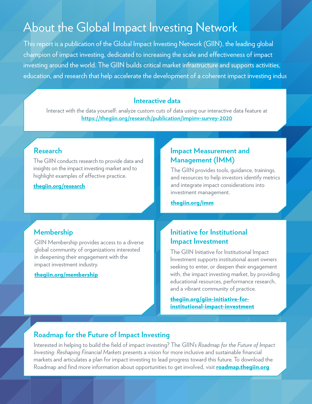## About the Global Impact Investing Network

This report is a publication of the Global Impact Investing Network (GIIN), the leading global champion of impact investing, dedicated to increasing the scale and effectiveness of impact investing around the world. The GIIN builds critical market infrastructure and supports activities, education, and research that help accelerate the development of a coherent impact investing indus

#### **Interactive data**

Interact with the data yourself: analyze custom cuts of data using our interactive data feature at **<https://thegiin.org/research/publication/impinv-survey-2020>**

The GIIN conducts research to provide data and insights on the impact investing market and to highlight examples of effective practice.

#### [thegiin.org/research](https://thegiin.org/research)

#### **Research Impact Measurement and Management (IMM)**

The GIIN provides tools, guidance, trainings, and resources to help investors identify metrics and integrate impact considerations into investment management.

[thegiin.org/imm](https://thegiin.org/imm)

#### **Membership**

GIIN Membership provides access to a diverse global community of organizations interested in deepening their engagement with the impact investment industry.

#### [thegiin.org/membership](https://thegiin.org/membership/)

#### **Initiative for Institutional Impact Investment**

The GIIN Initiative for Institutional Impact Investment supports institutional asset owners seeking to enter, or deepen their engagement with, the impact investing market, by providing educational resources, performance research, and a vibrant community of practice.

thegiin.org/giin-initiative-for[institutional-impact-investment](https://thegiin.org/giin-initiative-for-institutional-impact-investment)

#### **Roadmap for the Future of Impact Investing**

Interested in helping to build the field of impact investing? The GIIN's *Roadmap for the Future of Impact Investing: Reshaping Financial Markets* presents a vision for more inclusive and sustainable financial markets and articulates a plan for impact investing to lead progress toward this future. To download the Roadmap and find more information about opportunities to get involved, visit **[roadmap.thegiin.org](https://roadmap.thegiin.org)**